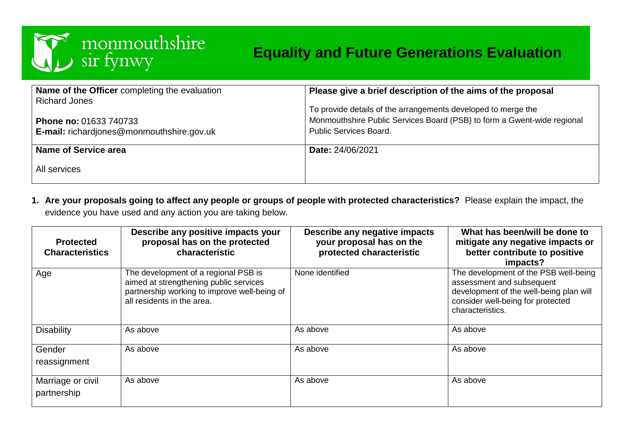

# **Equality and Future Generations Evaluation**

| Name of the Officer completing the evaluation | Please give a brief description of the aims of the proposal             |
|-----------------------------------------------|-------------------------------------------------------------------------|
| <b>Richard Jones</b>                          | To provide details of the arrangements developed to merge the           |
| Phone no: 01633 740733                        | Monmouthshire Public Services Board (PSB) to form a Gwent-wide regional |
| E-mail: richardjones@monmouthshire.gov.uk     | <b>Public Services Board.</b>                                           |
| Name of Service area<br>All services          | <b>Date: 24/06/2021</b>                                                 |

**1. Are your proposals going to affect any people or groups of people with protected characteristics?** Please explain the impact, the evidence you have used and any action you are taking below.

| <b>Protected</b><br><b>Characteristics</b> | Describe any positive impacts your<br>proposal has on the protected<br>characteristic                                                                        | Describe any negative impacts<br>your proposal has on the<br>protected characteristic | What has been/will be done to<br>mitigate any negative impacts or<br>better contribute to positive<br>impacts?                                                         |
|--------------------------------------------|--------------------------------------------------------------------------------------------------------------------------------------------------------------|---------------------------------------------------------------------------------------|------------------------------------------------------------------------------------------------------------------------------------------------------------------------|
| Age                                        | The development of a regional PSB is<br>aimed at strengthening public services<br>partnership working to improve well-being of<br>all residents in the area. | None identified                                                                       | The development of the PSB well-being<br>assessment and subsequent<br>development of the well-being plan will<br>consider well-being for protected<br>characteristics. |
| <b>Disability</b>                          | As above                                                                                                                                                     | As above                                                                              | As above                                                                                                                                                               |
| Gender<br>reassignment                     | As above                                                                                                                                                     | As above                                                                              | As above                                                                                                                                                               |
| Marriage or civil<br>partnership           | As above                                                                                                                                                     | As above                                                                              | As above                                                                                                                                                               |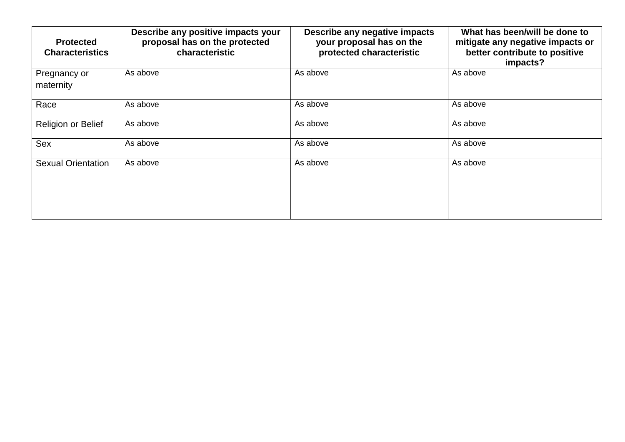| <b>Protected</b><br><b>Characteristics</b> | Describe any positive impacts your<br>proposal has on the protected<br>characteristic | Describe any negative impacts<br>your proposal has on the<br>protected characteristic | What has been/will be done to<br>mitigate any negative impacts or<br>better contribute to positive<br>impacts? |
|--------------------------------------------|---------------------------------------------------------------------------------------|---------------------------------------------------------------------------------------|----------------------------------------------------------------------------------------------------------------|
| Pregnancy or<br>maternity                  | As above                                                                              | As above                                                                              | As above                                                                                                       |
| Race                                       | As above                                                                              | As above                                                                              | As above                                                                                                       |
| Religion or Belief                         | As above                                                                              | As above                                                                              | As above                                                                                                       |
| Sex                                        | As above                                                                              | As above                                                                              | As above                                                                                                       |
| <b>Sexual Orientation</b>                  | As above                                                                              | As above                                                                              | As above                                                                                                       |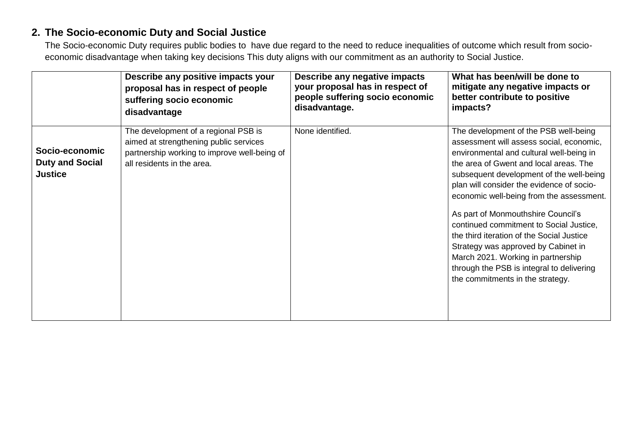### **2. The Socio-economic Duty and Social Justice**

The Socio-economic Duty requires public bodies to have due regard to the need to reduce inequalities of outcome which result from socioeconomic disadvantage when taking key decisions This duty aligns with our commitment as an authority to Social Justice.

|                                                            | Describe any positive impacts your                                                                                                                           | Describe any negative impacts   | What has been/will be done to                                                                                                                                                                                                                                                                                                                                                                                                                                                                                                                                                                            |
|------------------------------------------------------------|--------------------------------------------------------------------------------------------------------------------------------------------------------------|---------------------------------|----------------------------------------------------------------------------------------------------------------------------------------------------------------------------------------------------------------------------------------------------------------------------------------------------------------------------------------------------------------------------------------------------------------------------------------------------------------------------------------------------------------------------------------------------------------------------------------------------------|
|                                                            | proposal has in respect of people                                                                                                                            | your proposal has in respect of | mitigate any negative impacts or                                                                                                                                                                                                                                                                                                                                                                                                                                                                                                                                                                         |
|                                                            | suffering socio economic                                                                                                                                     | people suffering socio economic | better contribute to positive                                                                                                                                                                                                                                                                                                                                                                                                                                                                                                                                                                            |
|                                                            | disadvantage                                                                                                                                                 | disadvantage.                   | impacts?                                                                                                                                                                                                                                                                                                                                                                                                                                                                                                                                                                                                 |
| Socio-economic<br><b>Duty and Social</b><br><b>Justice</b> | The development of a regional PSB is<br>aimed at strengthening public services<br>partnership working to improve well-being of<br>all residents in the area. | None identified.                | The development of the PSB well-being<br>assessment will assess social, economic,<br>environmental and cultural well-being in<br>the area of Gwent and local areas. The<br>subsequent development of the well-being<br>plan will consider the evidence of socio-<br>economic well-being from the assessment.<br>As part of Monmouthshire Council's<br>continued commitment to Social Justice,<br>the third iteration of the Social Justice<br>Strategy was approved by Cabinet in<br>March 2021. Working in partnership<br>through the PSB is integral to delivering<br>the commitments in the strategy. |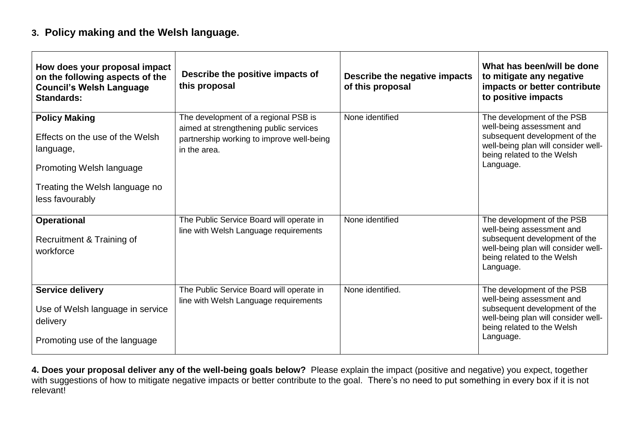### **3. Policy making and the Welsh language.**

| How does your proposal impact<br>on the following aspects of the<br><b>Council's Welsh Language</b><br><b>Standards:</b>                              | Describe the positive impacts of<br>this proposal                                                                                           | Describe the negative impacts<br>of this proposal | What has been/will be done<br>to mitigate any negative<br>impacts or better contribute<br>to positive impacts                                                              |
|-------------------------------------------------------------------------------------------------------------------------------------------------------|---------------------------------------------------------------------------------------------------------------------------------------------|---------------------------------------------------|----------------------------------------------------------------------------------------------------------------------------------------------------------------------------|
| <b>Policy Making</b><br>Effects on the use of the Welsh<br>language,<br>Promoting Welsh language<br>Treating the Welsh language no<br>less favourably | The development of a regional PSB is<br>aimed at strengthening public services<br>partnership working to improve well-being<br>in the area. | None identified                                   | The development of the PSB<br>well-being assessment and<br>subsequent development of the<br>well-being plan will consider well-<br>being related to the Welsh<br>Language. |
| <b>Operational</b><br>Recruitment & Training of<br>workforce                                                                                          | The Public Service Board will operate in<br>line with Welsh Language requirements                                                           | None identified                                   | The development of the PSB<br>well-being assessment and<br>subsequent development of the<br>well-being plan will consider well-<br>being related to the Welsh<br>Language. |
| <b>Service delivery</b><br>Use of Welsh language in service<br>delivery<br>Promoting use of the language                                              | The Public Service Board will operate in<br>line with Welsh Language requirements                                                           | None identified.                                  | The development of the PSB<br>well-being assessment and<br>subsequent development of the<br>well-being plan will consider well-<br>being related to the Welsh<br>Language. |

**4. Does your proposal deliver any of the well-being goals below?** Please explain the impact (positive and negative) you expect, together with suggestions of how to mitigate negative impacts or better contribute to the goal. There's no need to put something in every box if it is not relevant!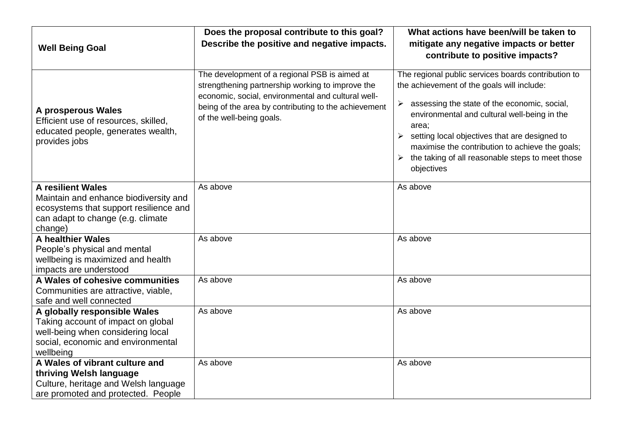|                                                                                                                                                             | Does the proposal contribute to this goal?                                                                                                                                                                                                  | What actions have been/will be taken to                                                                                                                                                                                                                                                                                                                                                         |
|-------------------------------------------------------------------------------------------------------------------------------------------------------------|---------------------------------------------------------------------------------------------------------------------------------------------------------------------------------------------------------------------------------------------|-------------------------------------------------------------------------------------------------------------------------------------------------------------------------------------------------------------------------------------------------------------------------------------------------------------------------------------------------------------------------------------------------|
| <b>Well Being Goal</b>                                                                                                                                      | Describe the positive and negative impacts.                                                                                                                                                                                                 | mitigate any negative impacts or better<br>contribute to positive impacts?                                                                                                                                                                                                                                                                                                                      |
| A prosperous Wales<br>Efficient use of resources, skilled,<br>educated people, generates wealth,<br>provides jobs                                           | The development of a regional PSB is aimed at<br>strengthening partnership working to improve the<br>economic, social, environmental and cultural well-<br>being of the area by contributing to the achievement<br>of the well-being goals. | The regional public services boards contribution to<br>the achievement of the goals will include:<br>assessing the state of the economic, social,<br>➤<br>environmental and cultural well-being in the<br>area;<br>setting local objectives that are designed to<br>➤<br>maximise the contribution to achieve the goals;<br>the taking of all reasonable steps to meet those<br>➤<br>objectives |
| <b>A resilient Wales</b><br>Maintain and enhance biodiversity and<br>ecosystems that support resilience and<br>can adapt to change (e.g. climate<br>change) | As above                                                                                                                                                                                                                                    | As above                                                                                                                                                                                                                                                                                                                                                                                        |
| <b>A healthier Wales</b><br>People's physical and mental<br>wellbeing is maximized and health<br>impacts are understood                                     | As above                                                                                                                                                                                                                                    | As above                                                                                                                                                                                                                                                                                                                                                                                        |
| A Wales of cohesive communities<br>Communities are attractive, viable,<br>safe and well connected                                                           | As above                                                                                                                                                                                                                                    | As above                                                                                                                                                                                                                                                                                                                                                                                        |
| A globally responsible Wales<br>Taking account of impact on global<br>well-being when considering local<br>social, economic and environmental<br>wellbeing  | As above                                                                                                                                                                                                                                    | As above                                                                                                                                                                                                                                                                                                                                                                                        |
| A Wales of vibrant culture and<br>thriving Welsh language<br>Culture, heritage and Welsh language<br>are promoted and protected. People                     | As above                                                                                                                                                                                                                                    | As above                                                                                                                                                                                                                                                                                                                                                                                        |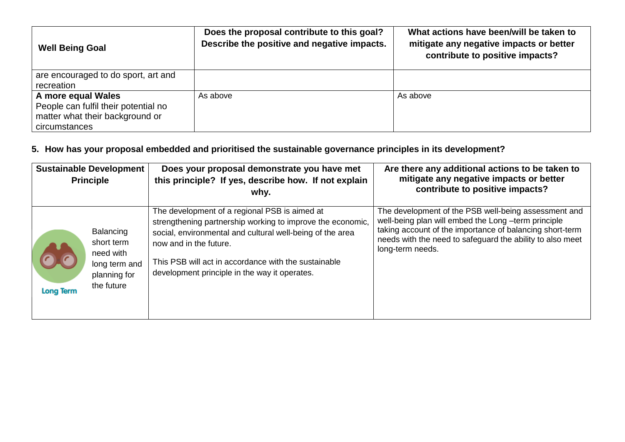| <b>Well Being Goal</b>                                                                                         | Does the proposal contribute to this goal?<br>Describe the positive and negative impacts. | What actions have been/will be taken to<br>mitigate any negative impacts or better<br>contribute to positive impacts? |
|----------------------------------------------------------------------------------------------------------------|-------------------------------------------------------------------------------------------|-----------------------------------------------------------------------------------------------------------------------|
| are encouraged to do sport, art and<br>recreation                                                              |                                                                                           |                                                                                                                       |
| A more equal Wales<br>People can fulfil their potential no<br>matter what their background or<br>circumstances | As above                                                                                  | As above                                                                                                              |

## **5. How has your proposal embedded and prioritised the sustainable governance principles in its development?**

| <b>Sustainable Development</b><br><b>Principle</b>                                     |               | Does your proposal demonstrate you have met<br>this principle? If yes, describe how. If not explain<br>why.                                                                                                                                                                                                 | Are there any additional actions to be taken to<br>mitigate any negative impacts or better<br>contribute to positive impacts?                                                                                                                            |
|----------------------------------------------------------------------------------------|---------------|-------------------------------------------------------------------------------------------------------------------------------------------------------------------------------------------------------------------------------------------------------------------------------------------------------------|----------------------------------------------------------------------------------------------------------------------------------------------------------------------------------------------------------------------------------------------------------|
| Balancing<br>short term<br>need with<br>planning for<br>the future<br><b>Long Term</b> | long term and | The development of a regional PSB is aimed at<br>strengthening partnership working to improve the economic,<br>social, environmental and cultural well-being of the area<br>now and in the future.<br>This PSB will act in accordance with the sustainable<br>development principle in the way it operates. | The development of the PSB well-being assessment and<br>well-being plan will embed the Long -term principle<br>taking account of the importance of balancing short-term<br>needs with the need to safeguard the ability to also meet<br>long-term needs. |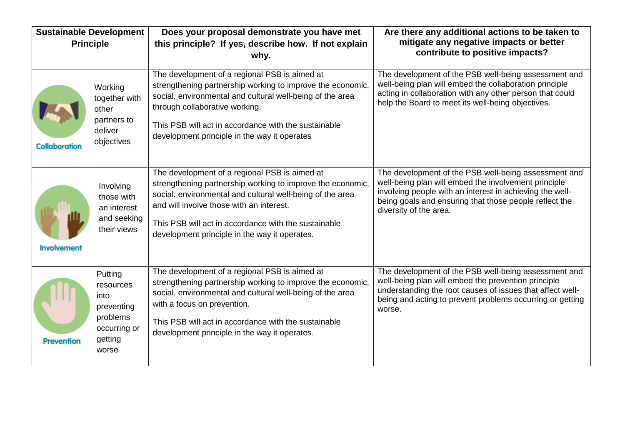| <b>Sustainable Development</b><br><b>Principle</b> |                                                                                            | Does your proposal demonstrate you have met<br>this principle? If yes, describe how. If not explain                                                                                                                                                                                                                           | Are there any additional actions to be taken to<br>mitigate any negative impacts or better                                                                                                                                                                   |
|----------------------------------------------------|--------------------------------------------------------------------------------------------|-------------------------------------------------------------------------------------------------------------------------------------------------------------------------------------------------------------------------------------------------------------------------------------------------------------------------------|--------------------------------------------------------------------------------------------------------------------------------------------------------------------------------------------------------------------------------------------------------------|
|                                                    |                                                                                            | why.                                                                                                                                                                                                                                                                                                                          | contribute to positive impacts?                                                                                                                                                                                                                              |
| <b>Collaboration</b>                               | Working<br>together with<br>other<br>partners to<br>deliver<br>objectives                  | The development of a regional PSB is aimed at<br>strengthening partnership working to improve the economic,<br>social, environmental and cultural well-being of the area<br>through collaborative working.<br>This PSB will act in accordance with the sustainable<br>development principle in the way it operates            | The development of the PSB well-being assessment and<br>well-being plan will embed the collaboration principle<br>acting in collaboration with any other person that could<br>help the Board to meet its well-being objectives.                              |
| <b>Involvement</b>                                 | Involving<br>those with<br>an interest<br>and seeking<br>their views                       | The development of a regional PSB is aimed at<br>strengthening partnership working to improve the economic,<br>social, environmental and cultural well-being of the area<br>and will involve those with an interest.<br>This PSB will act in accordance with the sustainable<br>development principle in the way it operates. | The development of the PSB well-being assessment and<br>well-being plan will embed the involvement principle<br>involving people with an interest in achieving the well-<br>being goals and ensuring that those people reflect the<br>diversity of the area. |
| <b>Prevention</b>                                  | Putting<br>resources<br>into<br>preventing<br>problems<br>occurring or<br>getting<br>worse | The development of a regional PSB is aimed at<br>strengthening partnership working to improve the economic,<br>social, environmental and cultural well-being of the area<br>with a focus on prevention.<br>This PSB will act in accordance with the sustainable<br>development principle in the way it operates.              | The development of the PSB well-being assessment and<br>well-being plan will embed the prevention principle<br>understanding the root causes of issues that affect well-<br>being and acting to prevent problems occurring or getting<br>worse.              |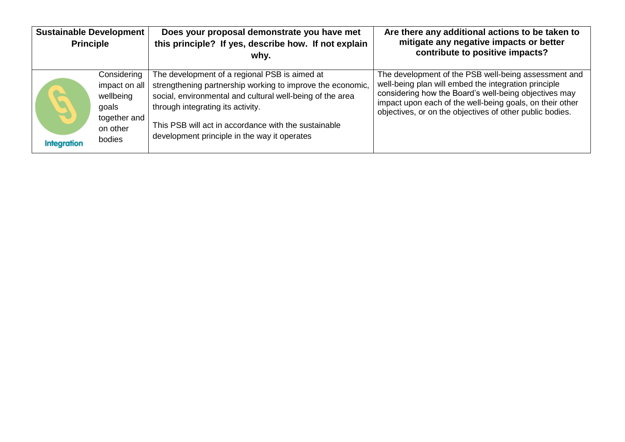| <b>Sustainable Development</b><br><b>Principle</b> |                                                                                          | Does your proposal demonstrate you have met<br>this principle? If yes, describe how. If not explain<br>why.                                                                                                                                                                                                           | Are there any additional actions to be taken to<br>mitigate any negative impacts or better<br>contribute to positive impacts?                                                                                                                                                                 |
|----------------------------------------------------|------------------------------------------------------------------------------------------|-----------------------------------------------------------------------------------------------------------------------------------------------------------------------------------------------------------------------------------------------------------------------------------------------------------------------|-----------------------------------------------------------------------------------------------------------------------------------------------------------------------------------------------------------------------------------------------------------------------------------------------|
| $\blacktriangle$<br><b>Integration</b>             | Considering<br>impact on all<br>wellbeing<br>goals<br>together and<br>on other<br>bodies | The development of a regional PSB is aimed at<br>strengthening partnership working to improve the economic,<br>social, environmental and cultural well-being of the area<br>through integrating its activity.<br>This PSB will act in accordance with the sustainable<br>development principle in the way it operates | The development of the PSB well-being assessment and<br>well-being plan will embed the integration principle<br>considering how the Board's well-being objectives may<br>impact upon each of the well-being goals, on their other<br>objectives, or on the objectives of other public bodies. |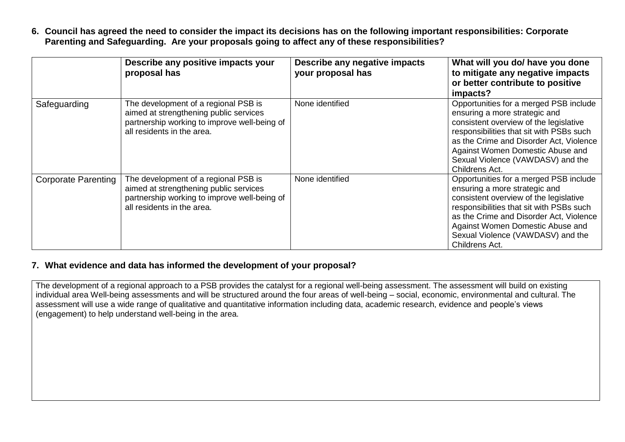**6. Council has agreed the need to consider the impact its decisions has on the following important responsibilities: Corporate Parenting and Safeguarding. Are your proposals going to affect any of these responsibilities?**

|                            | Describe any positive impacts your<br>proposal has                                                                                                           | Describe any negative impacts<br>your proposal has | What will you do/ have you done<br>to mitigate any negative impacts<br>or better contribute to positive<br>impacts?                                                                                                                                                                                 |
|----------------------------|--------------------------------------------------------------------------------------------------------------------------------------------------------------|----------------------------------------------------|-----------------------------------------------------------------------------------------------------------------------------------------------------------------------------------------------------------------------------------------------------------------------------------------------------|
| Safeguarding               | The development of a regional PSB is<br>aimed at strengthening public services<br>partnership working to improve well-being of<br>all residents in the area. | None identified                                    | Opportunities for a merged PSB include<br>ensuring a more strategic and<br>consistent overview of the legislative<br>responsibilities that sit with PSBs such<br>as the Crime and Disorder Act, Violence<br>Against Women Domestic Abuse and<br>Sexual Violence (VAWDASV) and the<br>Childrens Act. |
| <b>Corporate Parenting</b> | The development of a regional PSB is<br>aimed at strengthening public services<br>partnership working to improve well-being of<br>all residents in the area. | None identified                                    | Opportunities for a merged PSB include<br>ensuring a more strategic and<br>consistent overview of the legislative<br>responsibilities that sit with PSBs such<br>as the Crime and Disorder Act, Violence<br>Against Women Domestic Abuse and<br>Sexual Violence (VAWDASV) and the<br>Childrens Act. |

#### **7. What evidence and data has informed the development of your proposal?**

The development of a regional approach to a PSB provides the catalyst for a regional well-being assessment. The assessment will build on existing individual area Well-being assessments and will be structured around the four areas of well-being – social, economic, environmental and cultural. The assessment will use a wide range of qualitative and quantitative information including data, academic research, evidence and people's views (engagement) to help understand well-being in the area.